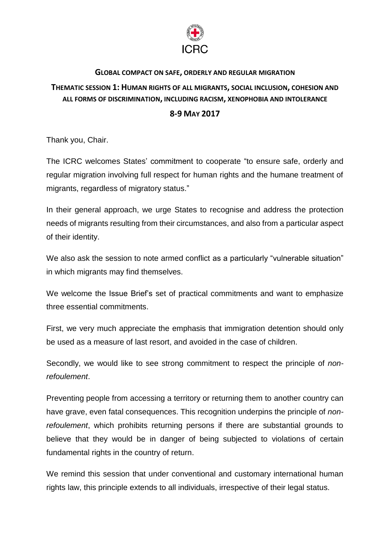

## **GLOBAL COMPACT ON SAFE, ORDERLY AND REGULAR MIGRATION**

## **THEMATIC SESSION 1: HUMAN RIGHTS OF ALL MIGRANTS, SOCIAL INCLUSION, COHESION AND ALL FORMS OF DISCRIMINATION, INCLUDING RACISM, XENOPHOBIA AND INTOLERANCE**

## **8-9 MAY 2017**

Thank you, Chair.

The ICRC welcomes States' commitment to cooperate "to ensure safe, orderly and regular migration involving full respect for human rights and the humane treatment of migrants, regardless of migratory status."

In their general approach, we urge States to recognise and address the protection needs of migrants resulting from their circumstances, and also from a particular aspect of their identity.

We also ask the session to note armed conflict as a particularly "vulnerable situation" in which migrants may find themselves.

We welcome the Issue Brief's set of practical commitments and want to emphasize three essential commitments.

First, we very much appreciate the emphasis that immigration detention should only be used as a measure of last resort, and avoided in the case of children.

Secondly, we would like to see strong commitment to respect the principle of *nonrefoulement*.

Preventing people from accessing a territory or returning them to another country can have grave, even fatal consequences. This recognition underpins the principle of *nonrefoulement*, which prohibits returning persons if there are substantial grounds to believe that they would be in danger of being subjected to violations of certain fundamental rights in the country of return.

We remind this session that under conventional and customary international human rights law, this principle extends to all individuals, irrespective of their legal status.